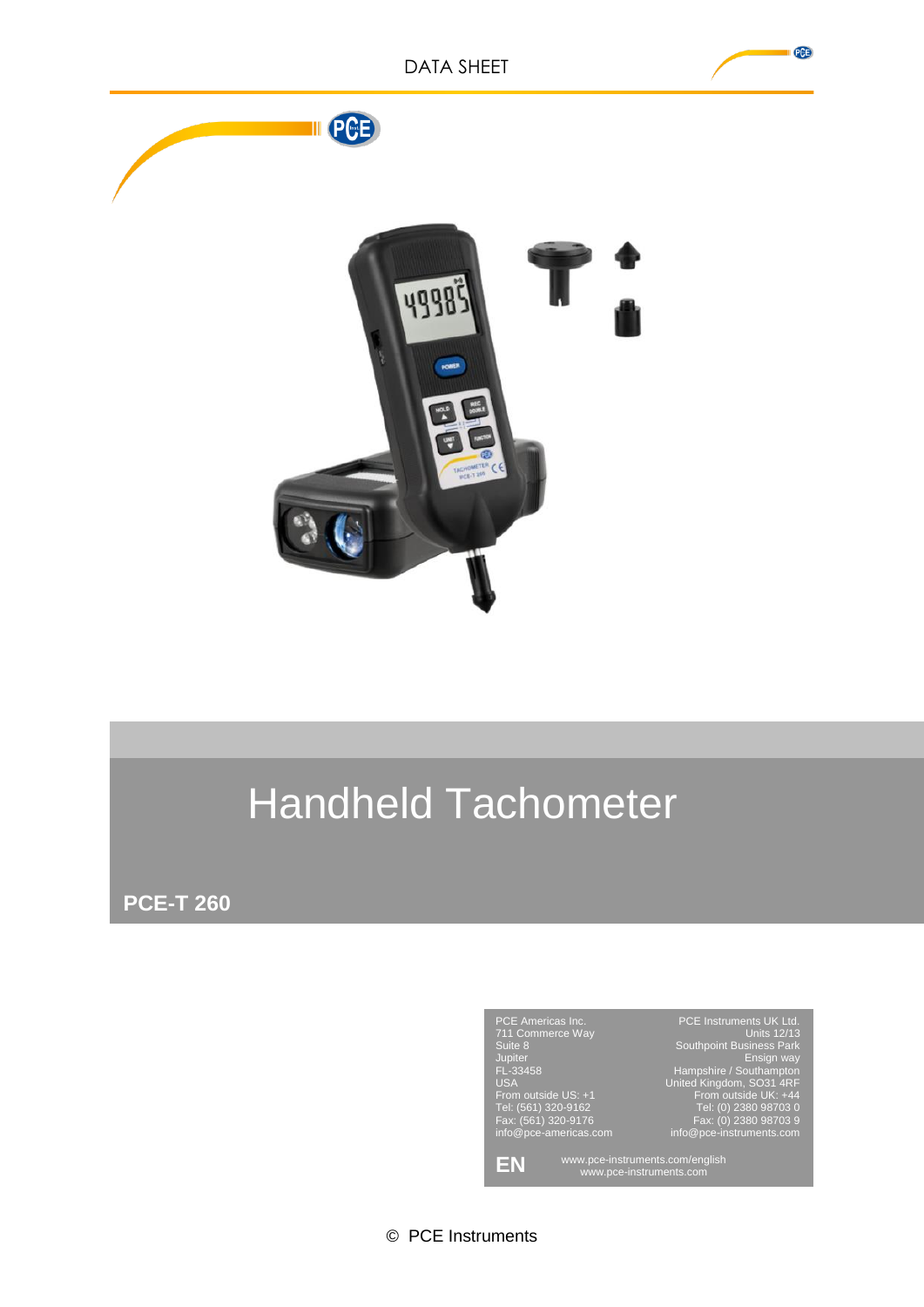

# Handheld Tachometer

**PCE-T 260**



© PCE Instruments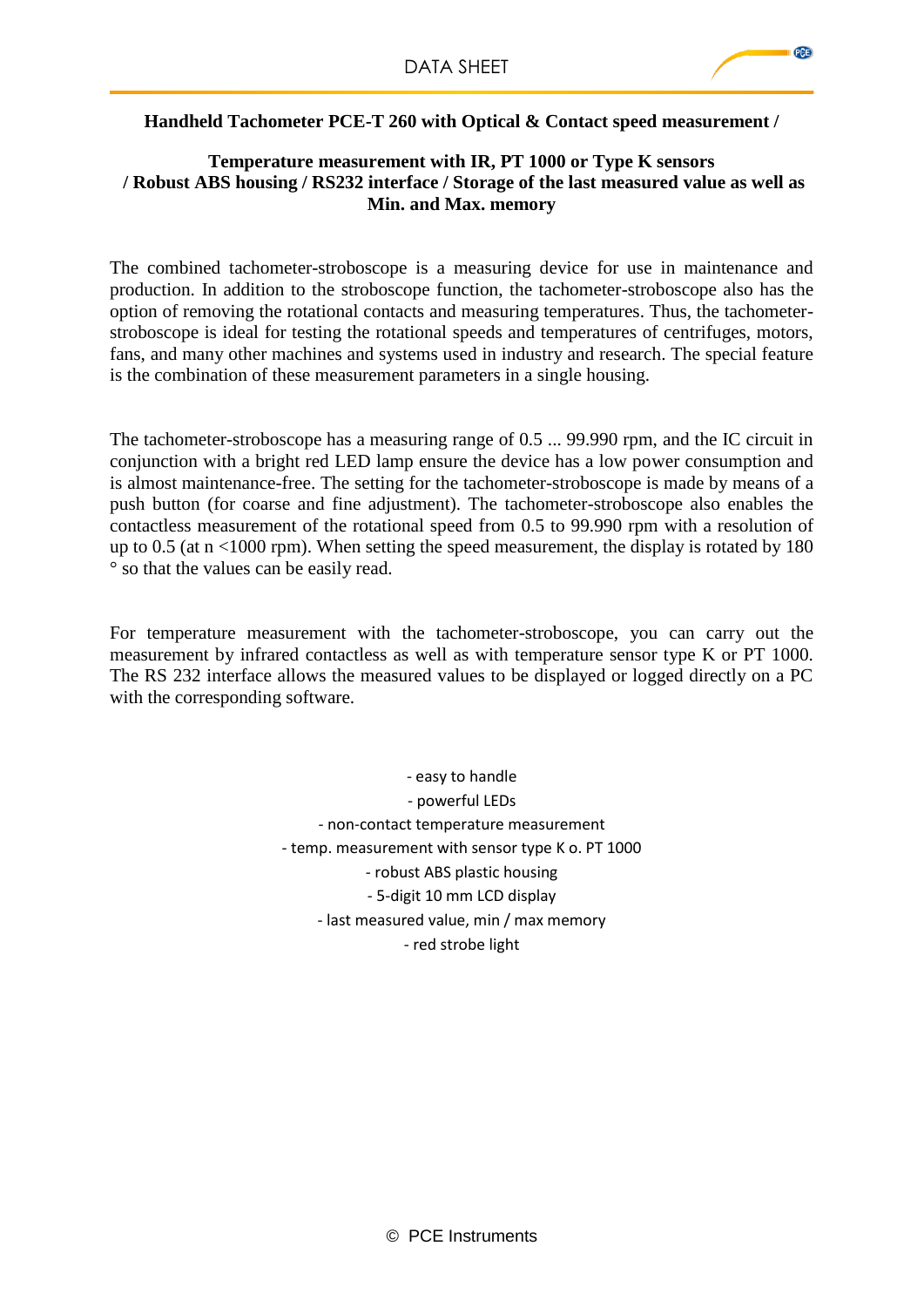## **Handheld Tachometer PCE-T 260 with Optical & Contact speed measurement /**

#### **Temperature measurement with IR, PT 1000 or Type K sensors / Robust ABS housing / RS232 interface / Storage of the last measured value as well as Min. and Max. memory**

The combined tachometer-stroboscope is a measuring device for use in maintenance and production. In addition to the stroboscope function, the tachometer-stroboscope also has the option of removing the rotational contacts and measuring temperatures. Thus, the tachometerstroboscope is ideal for testing the rotational speeds and temperatures of centrifuges, motors, fans, and many other machines and systems used in industry and research. The special feature is the combination of these measurement parameters in a single housing.

The tachometer-stroboscope has a measuring range of 0.5 ... 99.990 rpm, and the IC circuit in conjunction with a bright red LED lamp ensure the device has a low power consumption and is almost maintenance-free. The setting for the tachometer-stroboscope is made by means of a push button (for coarse and fine adjustment). The tachometer-stroboscope also enables the contactless measurement of the rotational speed from 0.5 to 99.990 rpm with a resolution of up to 0.5 (at  $n \le 1000$  rpm). When setting the speed measurement, the display is rotated by 180 ° so that the values can be easily read.

For temperature measurement with the tachometer-stroboscope, you can carry out the measurement by infrared contactless as well as with temperature sensor type K or PT 1000. The RS 232 interface allows the measured values to be displayed or logged directly on a PC with the corresponding software.

> - easy to handle - powerful LEDs - non-contact temperature measurement - temp. measurement with sensor type K o. PT 1000 - robust ABS plastic housing - 5-digit 10 mm LCD display - last measured value, min / max memory - red strobe light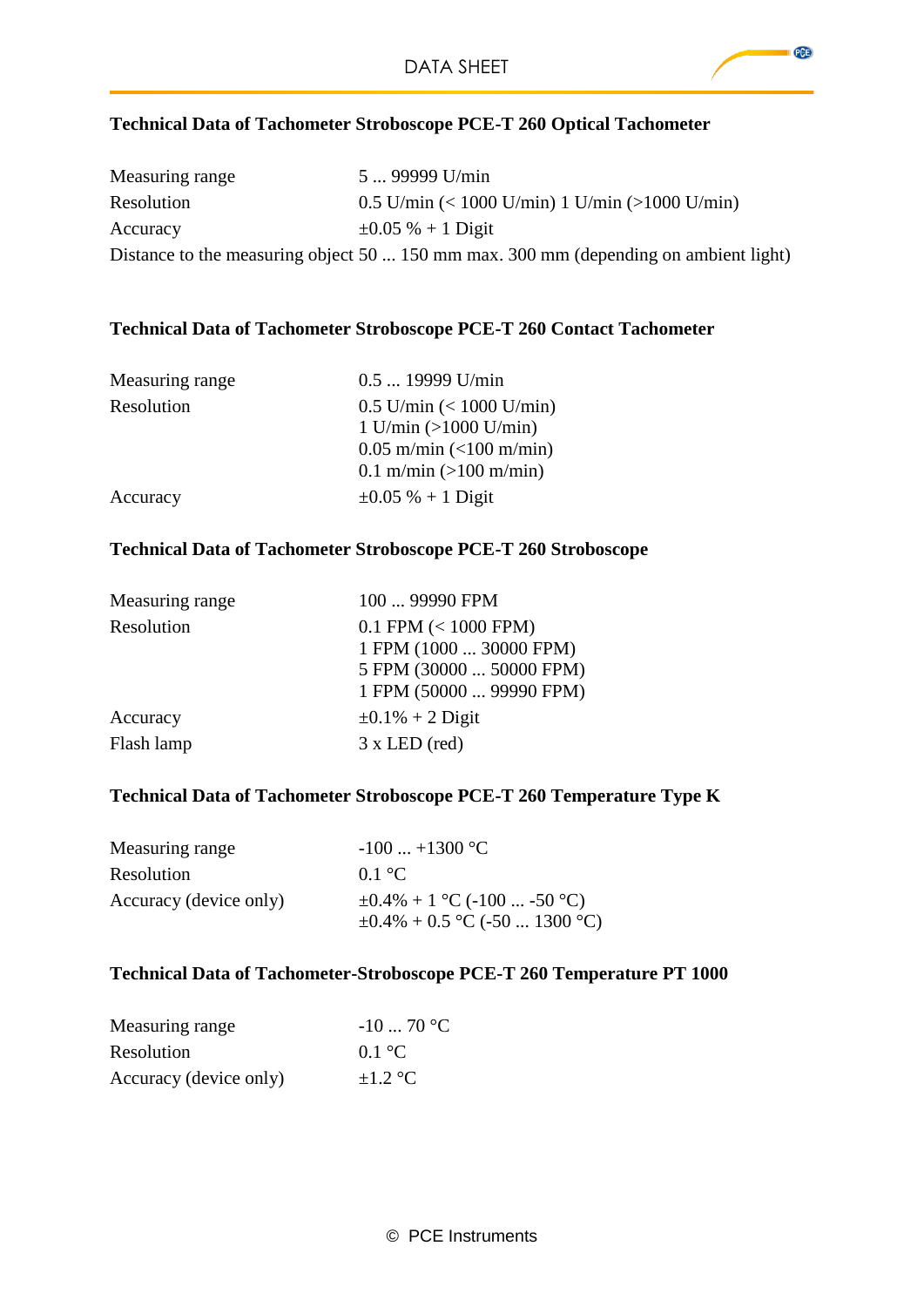## **Technical Data of Tachometer Stroboscope PCE-T 260 Optical Tachometer**

| Measuring range | 5  99999 U/min                                                                       |
|-----------------|--------------------------------------------------------------------------------------|
| Resolution      | $0.5$ U/min $(< 1000$ U/min) 1 U/min $(>1000$ U/min)                                 |
| Accuracy        | $\pm 0.05 \% + 1$ Digit                                                              |
|                 | Distance to the measuring object 50  150 mm max. 300 mm (depending on ambient light) |

#### **Technical Data of Tachometer Stroboscope PCE-T 260 Contact Tachometer**

| Measuring range | $0.5$ 19999 U/min                |
|-----------------|----------------------------------|
| Resolution      | $0.5$ U/min $(< 1000$ U/min)     |
|                 | $1$ U/min (>1000 U/min)          |
|                 | $0.05$ m/min (<100 m/min)        |
|                 | 0.1 m/min $(>100 \text{ m/min})$ |
| Accuracy        | $\pm 0.05 \% + 1$ Digit          |

#### **Technical Data of Tachometer Stroboscope PCE-T 260 Stroboscope**

| Measuring range | 100  99990 FPM           |
|-----------------|--------------------------|
| Resolution      | $0.1$ FPM $(< 1000$ FPM) |
|                 | 1 FPM (1000  30000 FPM)  |
|                 | 5 FPM (30000  50000 FPM) |
|                 | 1 FPM (50000  99990 FPM) |
| Accuracy        | $\pm 0.1\% + 2$ Digit    |
| Flash lamp      | $3 \times LED$ (red)     |

# **Technical Data of Tachometer Stroboscope PCE-T 260 Temperature Type K**

| Measuring range        | $-100$ $+1300$ °C                                                        |
|------------------------|--------------------------------------------------------------------------|
| Resolution             | 0.1 °C                                                                   |
| Accuracy (device only) | $\pm 0.4\% + 1$ °C (-100  -50 °C)<br>$\pm 0.4\% + 0.5$ °C (-50  1300 °C) |

#### **Technical Data of Tachometer-Stroboscope PCE-T 260 Temperature PT 1000**

| Measuring range        | $-1070$ °C |
|------------------------|------------|
| <b>Resolution</b>      | 0.1 °C     |
| Accuracy (device only) | $+1.2$ °C  |

 $PGE$